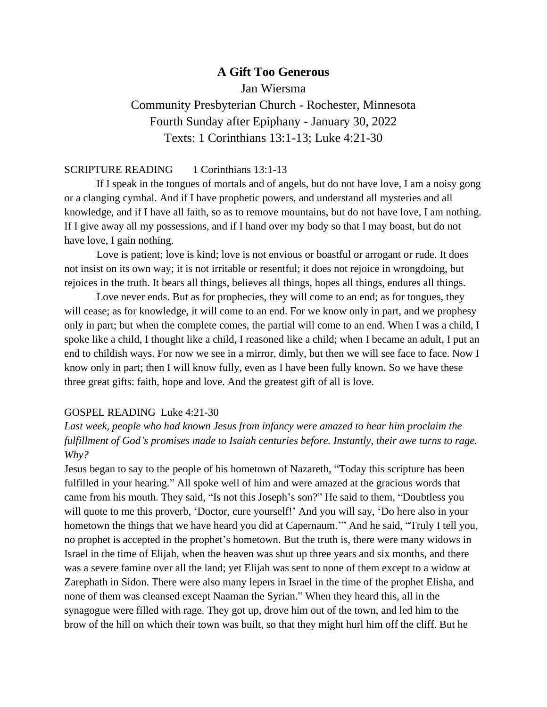## **A Gift Too Generous**

Jan Wiersma Community Presbyterian Church - Rochester, Minnesota Fourth Sunday after Epiphany - January 30, 2022 Texts: 1 Corinthians 13:1-13; Luke 4:21-30

## SCRIPTURE READING 1 Corinthians 13:1-13

If I speak in the tongues of mortals and of angels, but do not have love, I am a noisy gong or a clanging cymbal. And if I have prophetic powers, and understand all mysteries and all knowledge, and if I have all faith, so as to remove mountains, but do not have love, I am nothing. If I give away all my possessions, and if I hand over my body so that I may boast, but do not have love, I gain nothing.

Love is patient; love is kind; love is not envious or boastful or arrogant or rude. It does not insist on its own way; it is not irritable or resentful; it does not rejoice in wrongdoing, but rejoices in the truth. It bears all things, believes all things, hopes all things, endures all things.

Love never ends. But as for prophecies, they will come to an end; as for tongues, they will cease; as for knowledge, it will come to an end. For we know only in part, and we prophesy only in part; but when the complete comes, the partial will come to an end. When I was a child, I spoke like a child, I thought like a child, I reasoned like a child; when I became an adult, I put an end to childish ways. For now we see in a mirror, dimly, but then we will see face to face. Now I know only in part; then I will know fully, even as I have been fully known. So we have these three great gifts: faith, hope and love. And the greatest gift of all is love.

## GOSPEL READING Luke 4:21-30

*Last week, people who had known Jesus from infancy were amazed to hear him proclaim the fulfillment of God's promises made to Isaiah centuries before. Instantly, their awe turns to rage. Why?*

Jesus began to say to the people of his hometown of Nazareth, "Today this scripture has been fulfilled in your hearing." All spoke well of him and were amazed at the gracious words that came from his mouth. They said, "Is not this Joseph's son?" He said to them, "Doubtless you will quote to me this proverb, 'Doctor, cure yourself!' And you will say, 'Do here also in your hometown the things that we have heard you did at Capernaum.'" And he said, "Truly I tell you, no prophet is accepted in the prophet's hometown. But the truth is, there were many widows in Israel in the time of Elijah, when the heaven was shut up three years and six months, and there was a severe famine over all the land; yet Elijah was sent to none of them except to a widow at Zarephath in Sidon. There were also many lepers in Israel in the time of the prophet Elisha, and none of them was cleansed except Naaman the Syrian." When they heard this, all in the synagogue were filled with rage. They got up, drove him out of the town, and led him to the brow of the hill on which their town was built, so that they might hurl him off the cliff. But he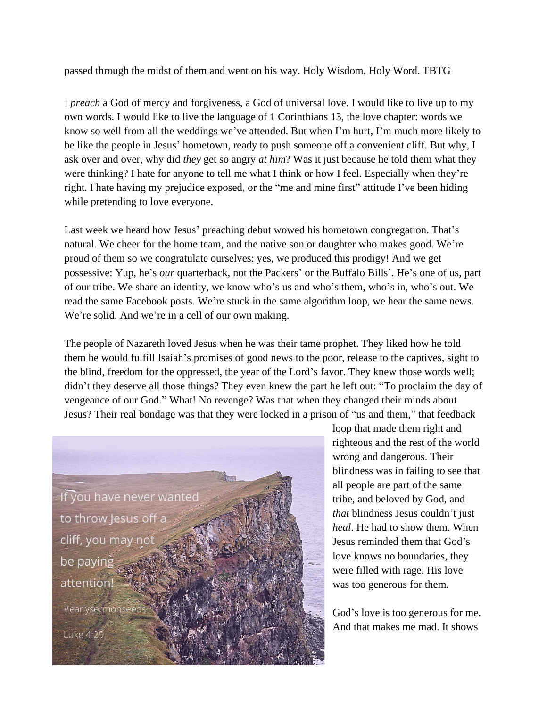passed through the midst of them and went on his way. Holy Wisdom, Holy Word. TBTG

I *preach* a God of mercy and forgiveness, a God of universal love. I would like to live up to my own words. I would like to live the language of 1 Corinthians 13, the love chapter: words we know so well from all the weddings we've attended. But when I'm hurt, I'm much more likely to be like the people in Jesus' hometown, ready to push someone off a convenient cliff. But why, I ask over and over, why did *they* get so angry *at him*? Was it just because he told them what they were thinking? I hate for anyone to tell me what I think or how I feel. Especially when they're right. I hate having my prejudice exposed, or the "me and mine first" attitude I've been hiding while pretending to love everyone.

Last week we heard how Jesus' preaching debut wowed his hometown congregation. That's natural. We cheer for the home team, and the native son or daughter who makes good. We're proud of them so we congratulate ourselves: yes, we produced this prodigy! And we get possessive: Yup, he's *our* quarterback, not the Packers' or the Buffalo Bills'. He's one of us, part of our tribe. We share an identity, we know who's us and who's them, who's in, who's out. We read the same Facebook posts. We're stuck in the same algorithm loop, we hear the same news. We're solid. And we're in a cell of our own making.

The people of Nazareth loved Jesus when he was their tame prophet. They liked how he told them he would fulfill Isaiah's promises of good news to the poor, release to the captives, sight to the blind, freedom for the oppressed, the year of the Lord's favor. They knew those words well; didn't they deserve all those things? They even knew the part he left out: "To proclaim the day of vengeance of our God." What! No revenge? Was that when they changed their minds about Jesus? Their real bondage was that they were locked in a prison of "us and them," that feedback



loop that made them right and righteous and the rest of the world wrong and dangerous. Their blindness was in failing to see that all people are part of the same tribe, and beloved by God, and *that* blindness Jesus couldn't just *heal*. He had to show them. When Jesus reminded them that God's love knows no boundaries, they were filled with rage. His love was too generous for them.

God's love is too generous for me. And that makes me mad. It shows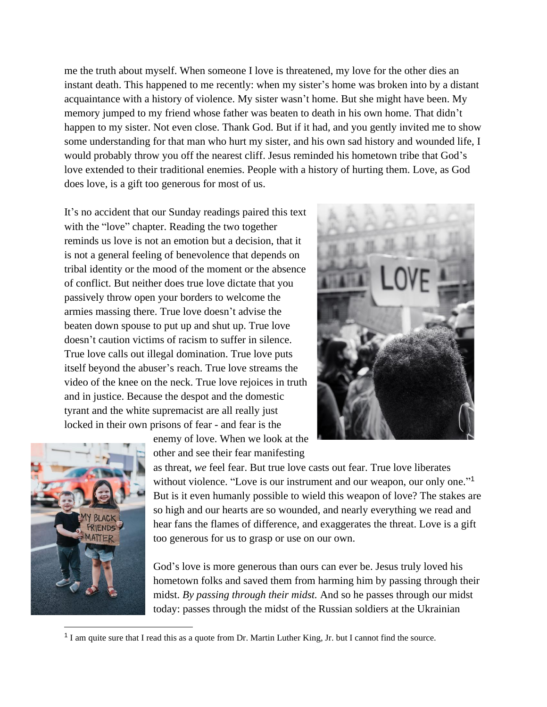me the truth about myself. When someone I love is threatened, my love for the other dies an instant death. This happened to me recently: when my sister's home was broken into by a distant acquaintance with a history of violence. My sister wasn't home. But she might have been. My memory jumped to my friend whose father was beaten to death in his own home. That didn't happen to my sister. Not even close. Thank God. But if it had, and you gently invited me to show some understanding for that man who hurt my sister, and his own sad history and wounded life, I would probably throw you off the nearest cliff. Jesus reminded his hometown tribe that God's love extended to their traditional enemies. People with a history of hurting them. Love, as God does love, is a gift too generous for most of us.

It's no accident that our Sunday readings paired this text with the "love" chapter. Reading the two together reminds us love is not an emotion but a decision, that it is not a general feeling of benevolence that depends on tribal identity or the mood of the moment or the absence of conflict. But neither does true love dictate that you passively throw open your borders to welcome the armies massing there. True love doesn't advise the beaten down spouse to put up and shut up. True love doesn't caution victims of racism to suffer in silence. True love calls out illegal domination. True love puts itself beyond the abuser's reach. True love streams the video of the knee on the neck. True love rejoices in truth and in justice. Because the despot and the domestic tyrant and the white supremacist are all really just locked in their own prisons of fear - and fear is the





enemy of love. When we look at the other and see their fear manifesting

as threat, *we* feel fear. But true love casts out fear. True love liberates without violence. "Love is our instrument and our weapon, our only one."<sup>1</sup> But is it even humanly possible to wield this weapon of love? The stakes are so high and our hearts are so wounded, and nearly everything we read and hear fans the flames of difference, and exaggerates the threat. Love is a gift too generous for us to grasp or use on our own.

God's love is more generous than ours can ever be. Jesus truly loved his hometown folks and saved them from harming him by passing through their midst. *By passing through their midst.* And so he passes through our midst today: passes through the midst of the Russian soldiers at the Ukrainian

<sup>1</sup> I am quite sure that I read this as a quote from Dr. Martin Luther King, Jr. but I cannot find the source.